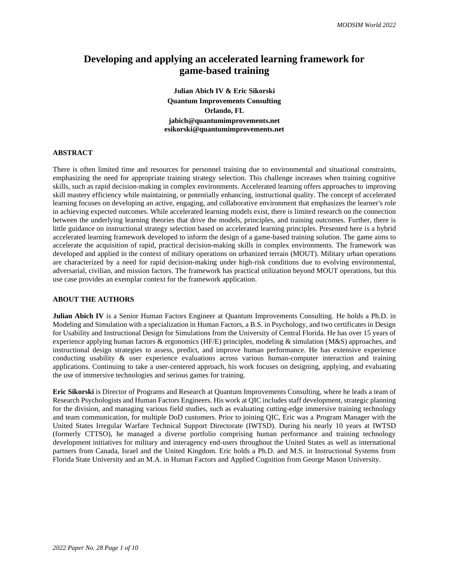# **Developing and applying an accelerated learning framework for game-based training**

**Julian Abich IV & Eric Sikorski Quantum Improvements Consulting Orlando, FL jabich@quantumimprovements.net esikorski@quantumimprovements.net**

### **ABSTRACT**

There is often limited time and resources for personnel training due to environmental and situational constraints, emphasizing the need for appropriate training strategy selection. This challenge increases when training cognitive skills, such as rapid decision-making in complex environments. Accelerated learning offers approaches to improving skill mastery efficiency while maintaining, or potentially enhancing, instructional quality. The concept of accelerated learning focuses on developing an active, engaging, and collaborative environment that emphasizes the learner's role in achieving expected outcomes. While accelerated learning models exist, there is limited research on the connection between the underlying learning theories that drive the models, principles, and training outcomes. Further, there is little guidance on instructional strategy selection based on accelerated learning principles. Presented here is a hybrid accelerated learning framework developed to inform the design of a game-based training solution. The game aims to accelerate the acquisition of rapid, practical decision-making skills in complex environments. The framework was developed and applied in the context of military operations on urbanized terrain (MOUT). Military urban operations are characterized by a need for rapid decision-making under high-risk conditions due to evolving environmental, adversarial, civilian, and mission factors. The framework has practical utilization beyond MOUT operations, but this use case provides an exemplar context for the framework application.

#### **ABOUT THE AUTHORS**

**Julian Abich IV** is a Senior Human Factors Engineer at Quantum Improvements Consulting. He holds a Ph.D. in Modeling and Simulation with a specialization in Human Factors, a B.S. in Psychology, and two certificates in Design for Usability and Instructional Design for Simulations from the University of Central Florida. He has over 15 years of experience applying human factors & ergonomics (HF/E) principles, modeling & simulation (M&S) approaches, and instructional design strategies to assess, predict, and improve human performance. He has extensive experience conducting usability & user experience evaluations across various human-computer interaction and training applications. Continuing to take a user-centered approach, his work focuses on designing, applying, and evaluating the use of immersive technologies and serious games for training.

**Eric Sikorski** is Director of Programs and Research at Quantum Improvements Consulting, where he leads a team of Research Psychologists and Human Factors Engineers. His work at QIC includes staff development, strategic planning for the division, and managing various field studies, such as evaluating cutting-edge immersive training technology and team communication, for multiple DoD customers. Prior to joining QIC, Eric was a Program Manager with the United States Irregular Warfare Technical Support Directorate (IWTSD). During his nearly 10 years at IWTSD (formerly CTTSO), he managed a diverse portfolio comprising human performance and training technology development initiatives for military and interagency end-users throughout the United States as well as international partners from Canada, Israel and the United Kingdom. Eric holds a Ph.D. and M.S. in Instructional Systems from Florida State University and an M.A. in Human Factors and Applied Cognition from George Mason University.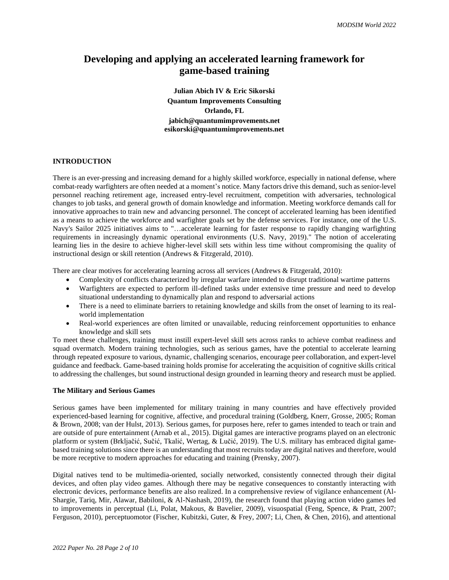# **Developing and applying an accelerated learning framework for game-based training**

**Julian Abich IV & Eric Sikorski Quantum Improvements Consulting Orlando, FL jabich@quantumimprovements.net esikorski@quantumimprovements.net**

# **INTRODUCTION**

There is an ever-pressing and increasing demand for a highly skilled workforce, especially in national defense, where combat-ready warfighters are often needed at a moment's notice. Many factors drive this demand, such as senior-level personnel reaching retirement age, increased entry-level recruitment, competition with adversaries, technological changes to job tasks, and general growth of domain knowledge and information. Meeting workforce demands call for innovative approaches to train new and advancing personnel. The concept of accelerated learning has been identified as a means to achieve the workforce and warfighter goals set by the defense services. For instance, one of the U.S. Navy's Sailor 2025 initiatives aims to "…accelerate learning for faster response to rapidly changing warfighting requirements in increasingly dynamic operational environments (U.S. Navy, 2019)." The notion of accelerating learning lies in the desire to achieve higher-level skill sets within less time without compromising the quality of instructional design or skill retention (Andrews & Fitzgerald, 2010).

There are clear motives for accelerating learning across all services (Andrews & Fitzgerald, 2010):

- Complexity of conflicts characterized by irregular warfare intended to disrupt traditional wartime patterns
- Warfighters are expected to perform ill-defined tasks under extensive time pressure and need to develop situational understanding to dynamically plan and respond to adversarial actions
- There is a need to eliminate barriers to retaining knowledge and skills from the onset of learning to its realworld implementation
- Real-world experiences are often limited or unavailable, reducing reinforcement opportunities to enhance knowledge and skill sets

To meet these challenges, training must instill expert-level skill sets across ranks to achieve combat readiness and squad overmatch. Modern training technologies, such as serious games, have the potential to accelerate learning through repeated exposure to various, dynamic, challenging scenarios, encourage peer collaboration, and expert-level guidance and feedback. Game-based training holds promise for accelerating the acquisition of cognitive skills critical to addressing the challenges, but sound instructional design grounded in learning theory and research must be applied.

# **The Military and Serious Games**

Serious games have been implemented for military training in many countries and have effectively provided experienced-based learning for cognitive, affective, and procedural training (Goldberg, Knerr, Grosse, 2005; Roman & Brown, 2008; van der Hulst, 2013). Serious games, for purposes here, refer to games intended to teach or train and are outside of pure entertainment (Arnab et al., 2015). Digital games are interactive programs played on an electronic platform or system (Brkljačić, Sučić, Tkalić, Wertag, & Lučić, 2019). The U.S. military has embraced digital gamebased training solutions since there is an understanding that most recruits today are digital natives and therefore, would be more receptive to modern approaches for educating and training (Prensky, 2007).

Digital natives tend to be multimedia-oriented, socially networked, consistently connected through their digital devices, and often play video games. Although there may be negative consequences to constantly interacting with electronic devices, performance benefits are also realized. In a comprehensive review of vigilance enhancement (Al-Shargie, Tariq, Mir, Alawar, Babiloni, & Al-Nashash, 2019), the research found that playing action video games led to improvements in perceptual (Li, Polat, Makous, & Bavelier, 2009), visuospatial (Feng, Spence, & Pratt, 2007; Ferguson, 2010), perceptuomotor (Fischer, Kubitzki, Guter, & Frey, 2007; Li, Chen, & Chen, 2016), and attentional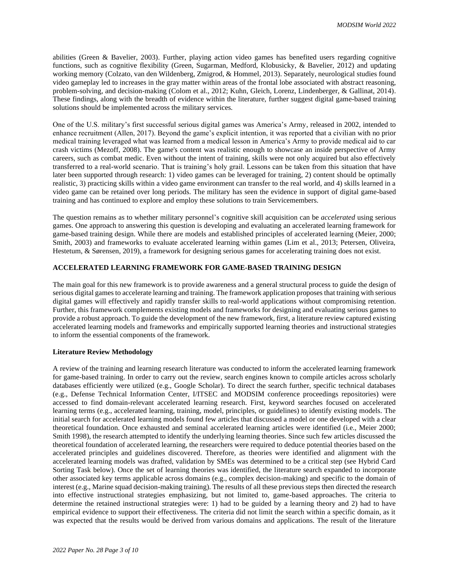abilities (Green & Bavelier, 2003). Further, playing action video games has benefited users regarding cognitive functions, such as cognitive flexibility (Green, Sugarman, Medford, Klobusicky, & Bavelier, 2012) and updating working memory (Colzato, van den Wildenberg, Zmigrod, & Hommel, 2013). Separately, neurological studies found video gameplay led to increases in the gray matter within areas of the frontal lobe associated with abstract reasoning, problem-solving, and decision-making (Colom et al., 2012; Kuhn, Gleich, Lorenz, Lindenberger, & Gallinat, 2014). These findings, along with the breadth of evidence within the literature, further suggest digital game-based training solutions should be implemented across the military services.

One of the U.S. military's first successful serious digital games was America's Army, released in 2002, intended to enhance recruitment (Allen, 2017). Beyond the game's explicit intention, it was reported that a civilian with no prior medical training leveraged what was learned from a medical lesson in America's Army to provide medical aid to car crash victims (Mezoff, 2008). The game's content was realistic enough to showcase an inside perspective of Army careers, such as combat medic. Even without the intent of training, skills were not only acquired but also effectively transferred to a real-world scenario. That is training's holy grail. Lessons can be taken from this situation that have later been supported through research: 1) video games can be leveraged for training, 2) content should be optimally realistic, 3) practicing skills within a video game environment can transfer to the real world, and 4) skills learned in a video game can be retained over long periods. The military has seen the evidence in support of digital game-based training and has continued to explore and employ these solutions to train Servicemembers.

The question remains as to whether military personnel's cognitive skill acquisition can be *accelerated* using serious games. One approach to answering this question is developing and evaluating an accelerated learning framework for game-based training design. While there are models and established principles of accelerated learning (Meier, 2000; Smith, 2003) and frameworks to evaluate accelerated learning within games (Lim et al., 2013; Petersen, Oliveira, Hestetum, & Sørensen, 2019), a framework for designing serious games for accelerating training does not exist.

# **ACCELERATED LEARNING FRAMEWORK FOR GAME-BASED TRAINING DESIGN**

The main goal for this new framework is to provide awareness and a general structural process to guide the design of serious digital games to accelerate learning and training. The framework application proposes that training with serious digital games will effectively and rapidly transfer skills to real-world applications without compromising retention. Further, this framework complements existing models and frameworks for designing and evaluating serious games to provide a robust approach. To guide the development of the new framework, first, a literature review captured existing accelerated learning models and frameworks and empirically supported learning theories and instructional strategies to inform the essential components of the framework.

## **Literature Review Methodology**

A review of the training and learning research literature was conducted to inform the accelerated learning framework for game-based training. In order to carry out the review, search engines known to compile articles across scholarly databases efficiently were utilized (e.g., Google Scholar). To direct the search further, specific technical databases (e.g., Defense Technical Information Center, I/ITSEC and MODSIM conference proceedings repositories) were accessed to find domain-relevant accelerated learning research. First, keyword searches focused on accelerated learning terms (e.g., accelerated learning, training, model, principles, or guidelines) to identify existing models. The initial search for accelerated learning models found few articles that discussed a model or one developed with a clear theoretical foundation. Once exhausted and seminal accelerated learning articles were identified (i.e., Meier 2000; Smith 1998), the research attempted to identify the underlying learning theories. Since such few articles discussed the theoretical foundation of accelerated learning, the researchers were required to deduce potential theories based on the accelerated principles and guidelines discovered. Therefore, as theories were identified and alignment with the accelerated learning models was drafted, validation by SMEs was determined to be a critical step (see Hybrid Card Sorting Task below). Once the set of learning theories was identified, the literature search expanded to incorporate other associated key terms applicable across domains (e.g., complex decision-making) and specific to the domain of interest (e.g., Marine squad decision-making training). The results of all these previous steps then directed the research into effective instructional strategies emphasizing, but not limited to, game-based approaches. The criteria to determine the retained instructional strategies were: 1) had to be guided by a learning theory and 2) had to have empirical evidence to support their effectiveness. The criteria did not limit the search within a specific domain, as it was expected that the results would be derived from various domains and applications. The result of the literature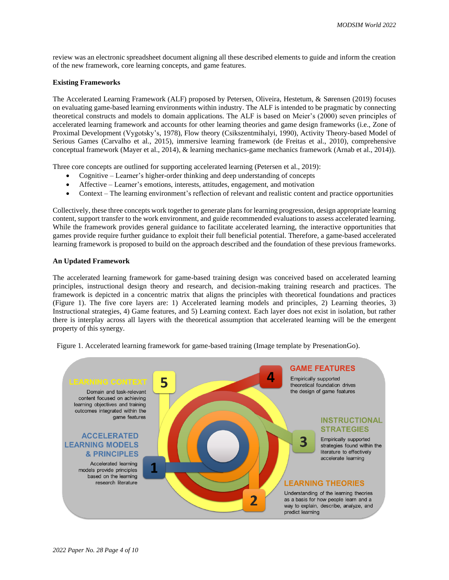review was an electronic spreadsheet document aligning all these described elements to guide and inform the creation of the new framework, core learning concepts, and game features.

### **Existing Frameworks**

The Accelerated Learning Framework (ALF) proposed by Petersen, Oliveira, Hestetum, & Sørensen (2019) focuses on evaluating game-based learning environments within industry. The ALF is intended to be pragmatic by connecting theoretical constructs and models to domain applications. The ALF is based on Meier's (2000) seven principles of accelerated learning framework and accounts for other learning theories and game design frameworks (i.e., Zone of Proximal Development (Vygotsky's, 1978), Flow theory (Csikszentmihalyi, 1990), Activity Theory-based Model of Serious Games (Carvalho et al., 2015), immersive learning framework (de Freitas et al., 2010), comprehensive conceptual framework (Mayer et al., 2014), & learning mechanics-game mechanics framework (Arnab et al., 2014)).

Three core concepts are outlined for supporting accelerated learning (Petersen et al., 2019):

- Cognitive Learner's higher-order thinking and deep understanding of concepts
- Affective Learner's emotions, interests, attitudes, engagement, and motivation
- Context The learning environment's reflection of relevant and realistic content and practice opportunities

Collectively, these three concepts work together to generate plansfor learning progression, design appropriate learning content, support transfer to the work environment, and guide recommended evaluations to assess accelerated learning. While the framework provides general guidance to facilitate accelerated learning, the interactive opportunities that games provide require further guidance to exploit their full beneficial potential. Therefore, a game-based accelerated learning framework is proposed to build on the approach described and the foundation of these previous frameworks.

#### **An Updated Framework**

The accelerated learning framework for game-based training design was conceived based on accelerated learning principles, instructional design theory and research, and decision-making training research and practices. The framework is depicted in a concentric matrix that aligns the principles with theoretical foundations and practices (Figure 1). The five core layers are: 1) Accelerated learning models and principles, 2) Learning theories, 3) Instructional strategies, 4) Game features, and 5) Learning context. Each layer does not exist in isolation, but rather there is interplay across all layers with the theoretical assumption that accelerated learning will be the emergent property of this synergy.

Figure 1. Accelerated learning framework for game-based training (Image template by PresenationGo).

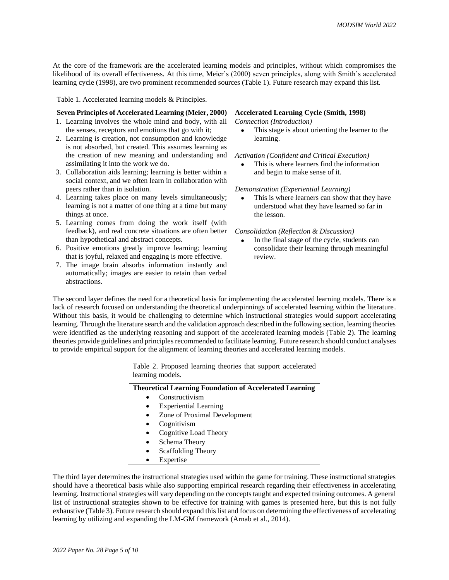At the core of the framework are the accelerated learning models and principles, without which compromises the likelihood of its overall effectiveness. At this time, Meier's (2000) seven principles, along with Smith's accelerated learning cycle (1998), are two prominent recommended sources (Table 1). Future research may expand this list.

Table 1. Accelerated learning models & Principles.

| <b>Seven Principles of Accelerated Learning (Meier, 2000)</b> | <b>Accelerated Learning Cycle (Smith, 1998)</b>             |  |  |
|---------------------------------------------------------------|-------------------------------------------------------------|--|--|
| 1. Learning involves the whole mind and body, with all        | Connection (Introduction)                                   |  |  |
| the senses, receptors and emotions that go with it;           | This stage is about orienting the learner to the            |  |  |
| 2. Learning is creation, not consumption and knowledge        | learning.                                                   |  |  |
| is not absorbed, but created. This assumes learning as        |                                                             |  |  |
| the creation of new meaning and understanding and             | Activation (Confident and Critical Execution)               |  |  |
| assimilating it into the work we do.                          | This is where learners find the information<br>$\bullet$    |  |  |
| 3. Collaboration aids learning; learning is better within a   | and begin to make sense of it.                              |  |  |
| social context, and we often learn in collaboration with      |                                                             |  |  |
| peers rather than in isolation.                               | Demonstration (Experiential Learning)                       |  |  |
| 4. Learning takes place on many levels simultaneously;        | This is where learners can show that they have<br>$\bullet$ |  |  |
| learning is not a matter of one thing at a time but many      | understood what they have learned so far in                 |  |  |
| things at once.                                               | the lesson.                                                 |  |  |
| 5. Learning comes from doing the work itself (with            |                                                             |  |  |
| feedback), and real concrete situations are often better      | Consolidation (Reflection & Discussion)                     |  |  |
| than hypothetical and abstract concepts.                      | In the final stage of the cycle, students can               |  |  |
| 6. Positive emotions greatly improve learning; learning       | consolidate their learning through meaningful               |  |  |
| that is joyful, relaxed and engaging is more effective.       | review.                                                     |  |  |
| 7. The image brain absorbs information instantly and          |                                                             |  |  |
| automatically; images are easier to retain than verbal        |                                                             |  |  |
| abstractions.                                                 |                                                             |  |  |

The second layer defines the need for a theoretical basis for implementing the accelerated learning models. There is a lack of research focused on understanding the theoretical underpinnings of accelerated learning within the literature. Without this basis, it would be challenging to determine which instructional strategies would support accelerating learning. Through the literature search and the validation approach described in the following section, learning theories were identified as the underlying reasoning and support of the accelerated learning models (Table 2). The learning theories provide guidelines and principles recommended to facilitate learning. Future research should conduct analyses to provide empirical support for the alignment of learning theories and accelerated learning models.

> Table 2. Proposed learning theories that support accelerated learning models.

| <b>Theoretical Learning Foundation of Accelerated Learning</b> |                                                                |  |  |  |
|----------------------------------------------------------------|----------------------------------------------------------------|--|--|--|
|                                                                | Constructivism                                                 |  |  |  |
| $\bullet$                                                      | <b>Experiential Learning</b>                                   |  |  |  |
|                                                                | Zone of Proximal Development                                   |  |  |  |
|                                                                | Cognitivism                                                    |  |  |  |
|                                                                | Cognitive Load Theory                                          |  |  |  |
| $\bullet$                                                      | Schema Theory                                                  |  |  |  |
|                                                                | Scaffolding Theory                                             |  |  |  |
|                                                                | $\overline{\phantom{a}}$ . The set of $\overline{\phantom{a}}$ |  |  |  |

• Expertise

The third layer determines the instructional strategies used within the game for training. These instructional strategies should have a theoretical basis while also supporting empirical research regarding their effectiveness in accelerating learning. Instructional strategies will vary depending on the concepts taught and expected training outcomes. A general list of instructional strategies shown to be effective for training with games is presented here, but this is not fully exhaustive (Table 3). Future research should expand this list and focus on determining the effectiveness of accelerating learning by utilizing and expanding the LM-GM framework (Arnab et al., 2014).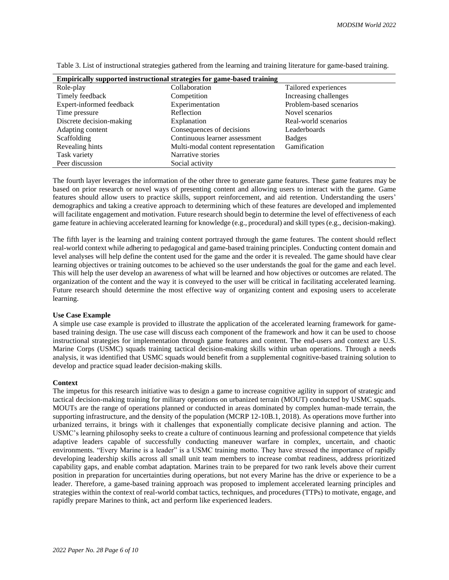| Empirically supported instructional strategies for game-based training |                                    |                         |  |  |  |  |
|------------------------------------------------------------------------|------------------------------------|-------------------------|--|--|--|--|
| Role-play                                                              | Collaboration                      | Tailored experiences    |  |  |  |  |
| Timely feedback                                                        | Competition                        | Increasing challenges   |  |  |  |  |
| Expert-informed feedback                                               | Experimentation                    | Problem-based scenarios |  |  |  |  |
| Time pressure                                                          | Reflection                         | Novel scenarios         |  |  |  |  |
| Discrete decision-making                                               | Explanation                        | Real-world scenarios    |  |  |  |  |
| Adapting content                                                       | Consequences of decisions          | Leaderboards            |  |  |  |  |
| Scaffolding                                                            | Continuous learner assessment      | <b>Badges</b>           |  |  |  |  |
| Revealing hints                                                        | Multi-modal content representation | Gamification            |  |  |  |  |
| Task variety                                                           | Narrative stories                  |                         |  |  |  |  |
| Peer discussion                                                        | Social activity                    |                         |  |  |  |  |

Table 3. List of instructional strategies gathered from the learning and training literature for game-based training.

The fourth layer leverages the information of the other three to generate game features. These game features may be based on prior research or novel ways of presenting content and allowing users to interact with the game. Game features should allow users to practice skills, support reinforcement, and aid retention. Understanding the users' demographics and taking a creative approach to determining which of these features are developed and implemented will facilitate engagement and motivation. Future research should begin to determine the level of effectiveness of each game feature in achieving accelerated learning for knowledge (e.g., procedural) and skill types (e.g., decision-making).

The fifth layer is the learning and training content portrayed through the game features. The content should reflect real-world context while adhering to pedagogical and game-based training principles. Conducting content domain and level analyses will help define the content used for the game and the order it is revealed. The game should have clear learning objectives or training outcomes to be achieved so the user understands the goal for the game and each level. This will help the user develop an awareness of what will be learned and how objectives or outcomes are related. The organization of the content and the way it is conveyed to the user will be critical in facilitating accelerated learning. Future research should determine the most effective way of organizing content and exposing users to accelerate learning.

## **Use Case Example**

A simple use case example is provided to illustrate the application of the accelerated learning framework for gamebased training design. The use case will discuss each component of the framework and how it can be used to choose instructional strategies for implementation through game features and content. The end-users and context are U.S. Marine Corps (USMC) squads training tactical decision-making skills within urban operations. Through a needs analysis, it was identified that USMC squads would benefit from a supplemental cognitive-based training solution to develop and practice squad leader decision-making skills.

## **Context**

The impetus for this research initiative was to design a game to increase cognitive agility in support of strategic and tactical decision-making training for military operations on urbanized terrain (MOUT) conducted by USMC squads. MOUTs are the range of operations planned or conducted in areas dominated by complex human-made terrain, the supporting infrastructure, and the density of the population (MCRP 12-10B.1, 2018). As operations move further into urbanized terrains, it brings with it challenges that exponentially complicate decisive planning and action. The USMC's learning philosophy seeks to create a culture of continuous learning and professional competence that yields adaptive leaders capable of successfully conducting maneuver warfare in complex, uncertain, and chaotic environments. "Every Marine is a leader" is a USMC training motto. They have stressed the importance of rapidly developing leadership skills across all small unit team members to increase combat readiness, address prioritized capability gaps, and enable combat adaptation. Marines train to be prepared for two rank levels above their current position in preparation for uncertainties during operations, but not every Marine has the drive or experience to be a leader. Therefore, a game-based training approach was proposed to implement accelerated learning principles and strategies within the context of real-world combat tactics, techniques, and procedures (TTPs) to motivate, engage, and rapidly prepare Marines to think, act and perform like experienced leaders.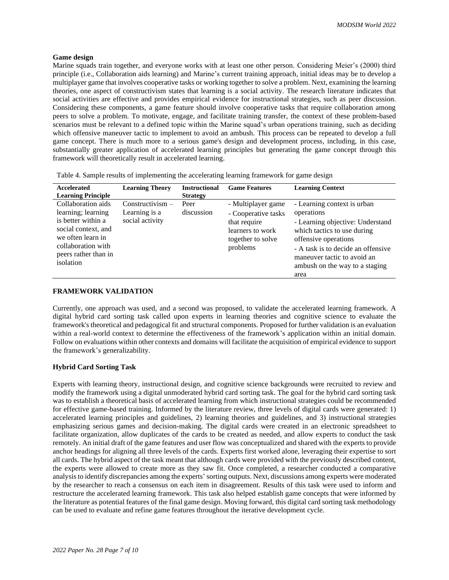## **Game design**

Marine squads train together, and everyone works with at least one other person. Considering Meier's (2000) third principle (i.e., Collaboration aids learning) and Marine's current training approach, initial ideas may be to develop a multiplayer game that involves cooperative tasks or working together to solve a problem. Next, examining the learning theories, one aspect of constructivism states that learning is a social activity. The research literature indicates that social activities are effective and provides empirical evidence for instructional strategies, such as peer discussion. Considering these components, a game feature should involve cooperative tasks that require collaboration among peers to solve a problem. To motivate, engage, and facilitate training transfer, the context of these problem-based scenarios must be relevant to a defined topic within the Marine squad's urban operations training, such as deciding which offensive maneuver tactic to implement to avoid an ambush. This process can be repeated to develop a full game concept. There is much more to a serious game's design and development process, including, in this case, substantially greater application of accelerated learning principles but generating the game concept through this framework will theoretically result in accelerated learning.

| Accelerated<br><b>Learning Principle</b>                                                                                                                              | <b>Learning Theory</b>                               | <b>Instructional</b><br><b>Strategy</b> | <b>Game Features</b>                                                                                           | <b>Learning Context</b>                                                                                                                                                                                                                     |
|-----------------------------------------------------------------------------------------------------------------------------------------------------------------------|------------------------------------------------------|-----------------------------------------|----------------------------------------------------------------------------------------------------------------|---------------------------------------------------------------------------------------------------------------------------------------------------------------------------------------------------------------------------------------------|
| Collaboration aids<br>learning; learning<br>is better within a<br>social context, and<br>we often learn in<br>collaboration with<br>peers rather than in<br>isolation | $Construction -$<br>Learning is a<br>social activity | Peer<br>discussion                      | - Multiplayer game<br>- Cooperative tasks<br>that require<br>learners to work<br>together to solve<br>problems | - Learning context is urban<br>operations<br>- Learning objective: Understand<br>which tactics to use during<br>offensive operations<br>- A task is to decide an offensive<br>maneuver tactic to avoid an<br>ambush on the way to a staging |

Table 4. Sample results of implementing the accelerating learning framework for game design

## **FRAMEWORK VALIDATION**

Currently, one approach was used, and a second was proposed, to validate the accelerated learning framework. A digital hybrid card sorting task called upon experts in learning theories and cognitive science to evaluate the framework's theoretical and pedagogical fit and structural components. Proposed for further validation is an evaluation within a real-world context to determine the effectiveness of the framework's application within an initial domain. Follow on evaluations within other contexts and domains will facilitate the acquisition of empirical evidence to support the framework's generalizability.

area

## **Hybrid Card Sorting Task**

Experts with learning theory, instructional design, and cognitive science backgrounds were recruited to review and modify the framework using a digital unmoderated hybrid card sorting task. The goal for the hybrid card sorting task was to establish a theoretical basis of accelerated learning from which instructional strategies could be recommended for effective game-based training. Informed by the literature review, three levels of digital cards were generated: 1) accelerated learning principles and guidelines, 2) learning theories and guidelines, and 3) instructional strategies emphasizing serious games and decision-making. The digital cards were created in an electronic spreadsheet to facilitate organization, allow duplicates of the cards to be created as needed, and allow experts to conduct the task remotely. An initial draft of the game features and user flow was conceptualized and shared with the experts to provide anchor headings for aligning all three levels of the cards. Experts first worked alone, leveraging their expertise to sort all cards. The hybrid aspect of the task meant that although cards were provided with the previously described content, the experts were allowed to create more as they saw fit. Once completed, a researcher conducted a comparative analysis to identify discrepancies among the experts' sorting outputs. Next, discussions among experts were moderated by the researcher to reach a consensus on each item in disagreement. Results of this task were used to inform and restructure the accelerated learning framework. This task also helped establish game concepts that were informed by the literature as potential features of the final game design. Moving forward, this digital card sorting task methodology can be used to evaluate and refine game features throughout the iterative development cycle.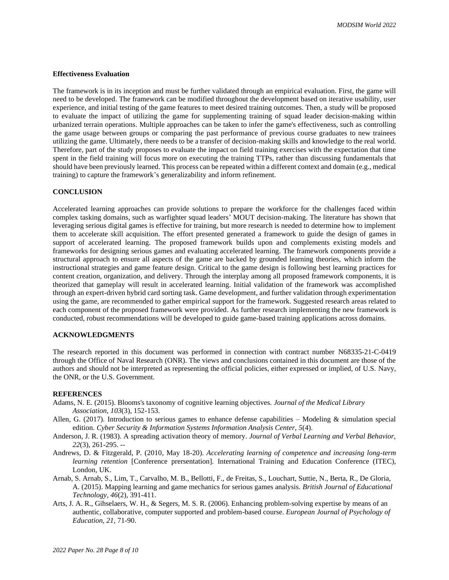### **Effectiveness Evaluation**

The framework is in its inception and must be further validated through an empirical evaluation. First, the game will need to be developed. The framework can be modified throughout the development based on iterative usability, user experience, and initial testing of the game features to meet desired training outcomes. Then, a study will be proposed to evaluate the impact of utilizing the game for supplementing training of squad leader decision-making within urbanized terrain operations. Multiple approaches can be taken to infer the game's effectiveness, such as controlling the game usage between groups or comparing the past performance of previous course graduates to new trainees utilizing the game. Ultimately, there needs to be a transfer of decision-making skills and knowledge to the real world. Therefore, part of the study proposes to evaluate the impact on field training exercises with the expectation that time spent in the field training will focus more on executing the training TTPs, rather than discussing fundamentals that should have been previously learned. This process can be repeated within a different context and domain (e.g., medical training) to capture the framework's generalizability and inform refinement.

## **CONCLUSION**

Accelerated learning approaches can provide solutions to prepare the workforce for the challenges faced within complex tasking domains, such as warfighter squad leaders' MOUT decision-making. The literature has shown that leveraging serious digital games is effective for training, but more research is needed to determine how to implement them to accelerate skill acquisition. The effort presented generated a framework to guide the design of games in support of accelerated learning. The proposed framework builds upon and complements existing models and frameworks for designing serious games and evaluating accelerated learning. The framework components provide a structural approach to ensure all aspects of the game are backed by grounded learning theories, which inform the instructional strategies and game feature design. Critical to the game design is following best learning practices for content creation, organization, and delivery. Through the interplay among all proposed framework components, it is theorized that gameplay will result in accelerated learning. Initial validation of the framework was accomplished through an expert-driven hybrid card sorting task. Game development, and further validation through experimentation using the game, are recommended to gather empirical support for the framework. Suggested research areas related to each component of the proposed framework were provided. As further research implementing the new framework is conducted, robust recommendations will be developed to guide game-based training applications across domains.

# **ACKNOWLEDGMENTS**

The research reported in this document was performed in connection with contract number N68335-21-C-0419 through the Office of Naval Research (ONR). The views and conclusions contained in this document are those of the authors and should not be interpreted as representing the official policies, either expressed or implied, of U.S. Navy, the ONR, or the U.S. Government.

#### **REFERENCES**

- Adams, N. E. (2015). Blooms's taxonomy of cognitive learning objectives. *Journal of the Medical Library Association, 103*(3), 152-153.
- Allen, G. (2017). Introduction to serious games to enhance defense capabilities Modeling & simulation special edition. *Cyber Security & Information Systems Information Analysis Center, 5*(4).
- Anderson, J. R. (1983). A spreading activation theory of memory. *Journal of Verbal Learning and Verbal Behavior, 22*(3), 261-295. --
- Andrews, D. & Fitzgerald, P. (2010, May 18-20). *Accelerating learning of competence and increasing long-term learning retention* [Conference prersentation]*.* International Training and Education Conference (ITEC), London, UK.
- Arnab, S. Arnab, S., Lim, T., Carvalho, M. B., Bellotti, F., de Freitas, S., Louchart, Suttie, N., Berta, R., De Gloria, A. (2015). Mapping learning and game mechanics for serious games analysis. *British Journal of Educational Technology, 46*(2), 391-411.
- Arts, J. A. R., Gihselaers, W. H., & Segers, M. S. R. (2006). Enhancing problem-solving expertise by means of an authentic, collaborative, computer supported and problem-based course. *European Journal of Psychology of Education, 21*, 71-90.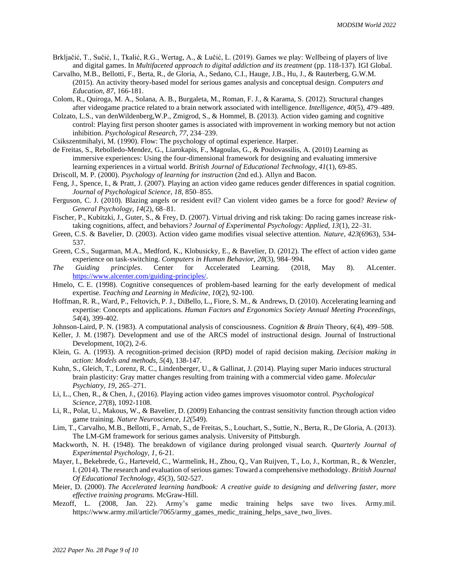- Brkljačić, T., Sučić, I., Tkalić, R.G., Wertag, A., & Lučić, L. (2019). Games we play: Wellbeing of players of live and digital games. In *Multifaceted approach to digital addiction and its treatment* (pp. 118-137). IGI Global.
- Carvalho, M.B., Bellotti, F., Berta, R., de Gloria, A., Sedano, C.I., Hauge, J.B., Hu, J., & Rauterberg, G.W.M. (2015). An activity theory-based model for serious games analysis and conceptual design. *Computers and Education, 87*, 166-181.
- Colom, R., Quiroga, M. A., Solana, A. B., Burgaleta, M., Roman, F. J., & Karama, S. (2012). Structural changes after videogame practice related to a brain network associated with intelligence. *Intelligence, 40*(5), 479–489.
- Colzato, L.S., van denWildenberg,W.P., Zmigrod, S., & Hommel, B. (2013). Action video gaming and cognitive control: Playing first person shooter games is associated with improvement in working memory but not action inhibition. *Psychological Research, 77*, 234–239.
- Csikszentmihalyi, M. (1990). Flow: The psychology of optimal experience. Harper.
- de Freitas, S., Rebolledo-Mendez, G., Liarokapis, F., Magoulas, G., & Poulovassilis, A. (2010) Learning as immersive experiences: Using the four-dimensional framework for designing and evaluating immersive learning experiences in a virtual world. *British Journal of Educational Technology, 41*(1), 69-85.
- Driscoll, M. P. (2000). *Psychology of learning for instruction* (2nd ed.). Allyn and Bacon.
- Feng, J., Spence, I., & Pratt, J. (2007). Playing an action video game reduces gender differences in spatial cognition. *Journal of Psychological Science, 18,* 850–855.
- Ferguson, C. J. (2010). Blazing angels or resident evil? Can violent video games be a force for good? *Review of General Psychology, 14*(2), 68–81.
- Fischer, P., Kubitzki, J., Guter, S., & Frey, D. (2007). Virtual driving and risk taking: Do racing games increase risktaking cognitions, affect, and behaviors*? Journal of Experimental Psychology: Applied, 13*(1), 22–31.
- Green, C.S. & Bavelier, D. (2003). Action video game modifies visual selective attention. *Nature, 423*(6963)*,* 534- 537.
- Green, C.S., Sugarman, M.A., Medford, K., Klobusicky, E., & Bavelier, D. (2012). The effect of action video game experience on task-switching. *Computers in Human Behavior, 28*(3), 984–994.
- *The Guiding principles*. Center for Accelerated Learning. (2018, May 8). ALcenter. [https://www.alcenter.com/guiding-principles/.](https://www.alcenter.com/guiding-principles/)
- Hmelo, C. E. (1998). Cognitive consequences of problem-based learning for the early development of medical expertise. *Teaching and Learning in Medicine, 10*(2), 92-100.
- Hoffman, R. R., Ward, P., Feltovich, P. J., DiBello, L., Fiore, S. M., & Andrews, D. (2010). Accelerating learning and expertise: Concepts and applications. *Human Factors and Ergonomics Society Annual Meeting Proceedings, 54*(4), 399-402.
- Johnson-Laird, P. N. (1983). A computational analysis of consciousness. *Cognition & Brain* Theory, 6(4), 499–508.
- Keller, J. M. (1987). Development and use of the ARCS model of instructional design. Journal of Instructional Development, 10(2), 2-6.
- Klein, G. A. (1993). A recognition-primed decision (RPD) model of rapid decision making. *Decision making in action: Models and methods, 5*(4), 138-147.
- Kuhn, S., Gleich, T., Lorenz, R. C., Lindenberger, U., & Gallinat, J. (2014). Playing super Mario induces structural brain plasticity: Gray matter changes resulting from training with a commercial video game. *Molecular Psychiatry, 19*, 265–271.
- Li, L., Chen, R., & Chen, J., (2016). Playing action video games improves visuomotor control. *Psychological Science, 27*(8), 1092-1108.
- Li, R., Polat, U., Makous, W., & Bavelier, D. (2009) Enhancing the contrast sensitivity function through action video game training. *Nature Neuroscience, 12*(549).
- Lim, T., Carvalho, M.B., Bellotti, F., Arnab, S., de Freitas, S., Louchart, S., Suttie, N., Berta, R., De Gloria, A. (2013). The LM-GM framework for serious games analysis. University of Pittsburgh.
- Mackworth, N. H. (1948). The breakdown of vigilance during prolonged visual search. *Quarterly Journal of Experimental Psychology, 1,* 6-21.
- Mayer, I., Bekebrede, G., Harteveld, C., Warmelink, H., Zhou, Q., Van Ruijven, T., Lo, J., Kortman, R., & Wenzler, I. (2014). The research and evaluation of serious games: Toward a comprehensive methodology. *British Journal Of Educational Technology, 45*(3), 502-527.
- Meier, D. (2000). *The Accelerated learning handbook: A creative guide to designing and delivering faster, more effective training programs.* McGraw-Hill.
- Mezoff, L. (2008, Jan. 22). Army's game medic training helps save two lives. Army.mil. https://www.army.mil/article/7065/army\_games\_medic\_training\_helps\_save\_two\_lives.